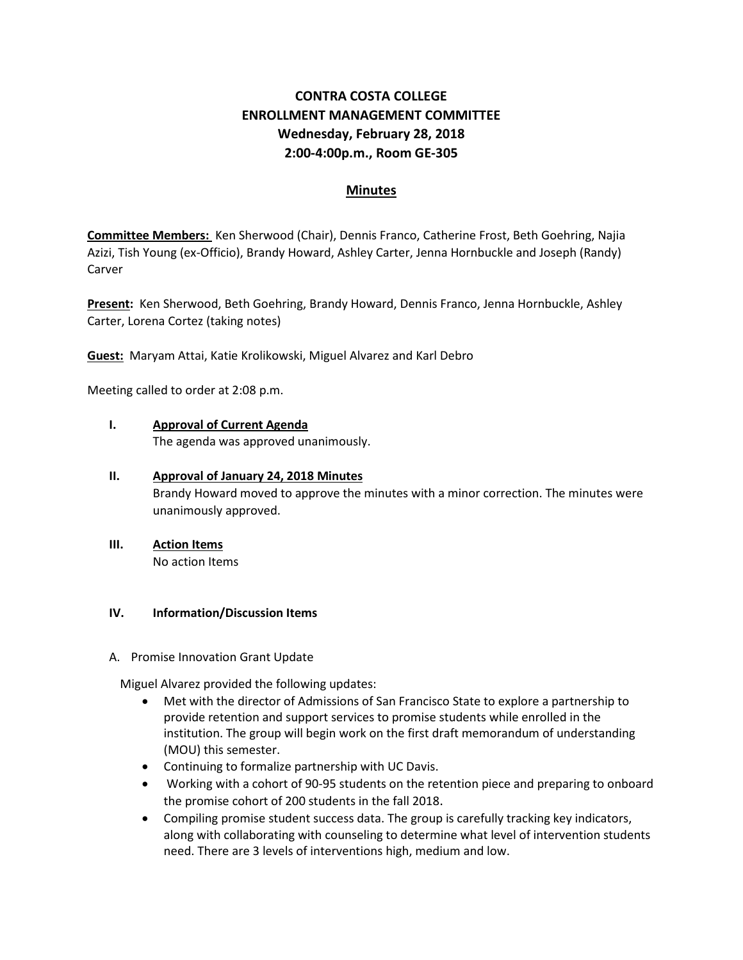# **CONTRA COSTA COLLEGE ENROLLMENT MANAGEMENT COMMITTEE Wednesday, February 28, 2018 2:00-4:00p.m., Room GE-305**

## **Minutes**

**Committee Members:** Ken Sherwood (Chair), Dennis Franco, Catherine Frost, Beth Goehring, Najia Azizi, Tish Young (ex-Officio), Brandy Howard, Ashley Carter, Jenna Hornbuckle and Joseph (Randy) Carver

**Present:** Ken Sherwood, Beth Goehring, Brandy Howard, Dennis Franco, Jenna Hornbuckle, Ashley Carter, Lorena Cortez (taking notes)

**Guest:** Maryam Attai, Katie Krolikowski, Miguel Alvarez and Karl Debro

Meeting called to order at 2:08 p.m.

### **I. Approval of Current Agenda**

The agenda was approved unanimously.

### **II. Approval of January 24, 2018 Minutes**

Brandy Howard moved to approve the minutes with a minor correction. The minutes were unanimously approved.

# **III. Action Items**

No action Items

### **IV. Information/Discussion Items**

A. Promise Innovation Grant Update

Miguel Alvarez provided the following updates:

- Met with the director of Admissions of San Francisco State to explore a partnership to provide retention and support services to promise students while enrolled in the institution. The group will begin work on the first draft memorandum of understanding (MOU) this semester.
- Continuing to formalize partnership with UC Davis.
- Working with a cohort of 90-95 students on the retention piece and preparing to onboard the promise cohort of 200 students in the fall 2018.
- Compiling promise student success data. The group is carefully tracking key indicators, along with collaborating with counseling to determine what level of intervention students need. There are 3 levels of interventions high, medium and low.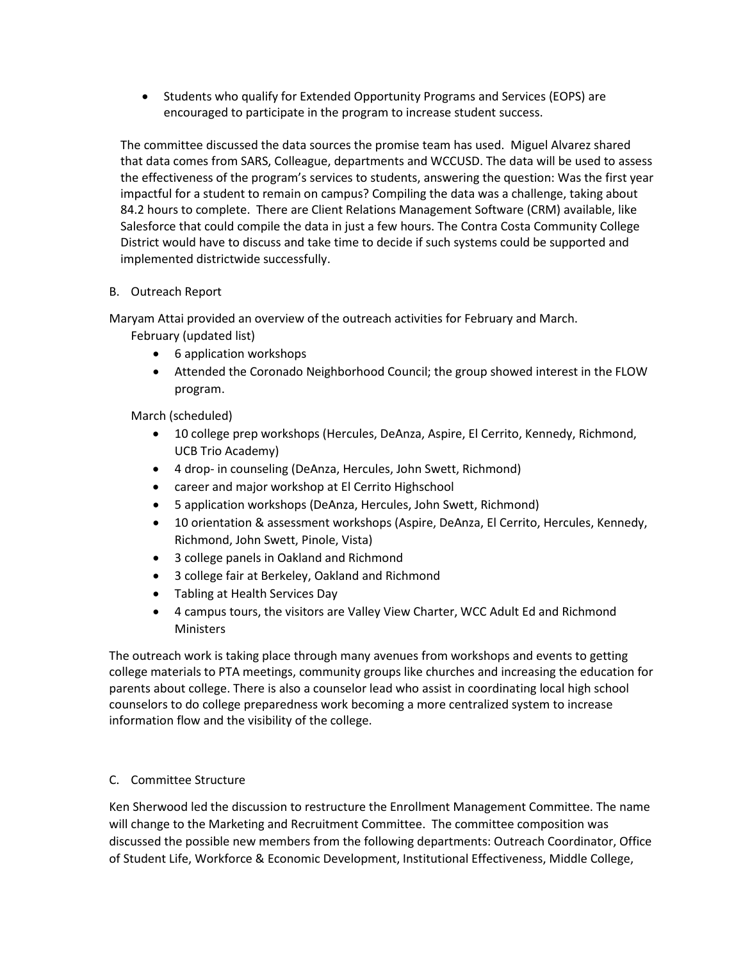• Students who qualify for Extended Opportunity Programs and Services (EOPS) are encouraged to participate in the program to increase student success.

The committee discussed the data sources the promise team has used. Miguel Alvarez shared that data comes from SARS, Colleague, departments and WCCUSD. The data will be used to assess the effectiveness of the program's services to students, answering the question: Was the first year impactful for a student to remain on campus? Compiling the data was a challenge, taking about 84.2 hours to complete. There are Client Relations Management Software (CRM) available, like Salesforce that could compile the data in just a few hours. The Contra Costa Community College District would have to discuss and take time to decide if such systems could be supported and implemented districtwide successfully.

### B. Outreach Report

Maryam Attai provided an overview of the outreach activities for February and March.

February (updated list)

- 6 application workshops
- Attended the Coronado Neighborhood Council; the group showed interest in the FLOW program.

March (scheduled)

- 10 college prep workshops (Hercules, DeAnza, Aspire, El Cerrito, Kennedy, Richmond, UCB Trio Academy)
- 4 drop- in counseling (DeAnza, Hercules, John Swett, Richmond)
- career and major workshop at El Cerrito Highschool
- 5 application workshops (DeAnza, Hercules, John Swett, Richmond)
- 10 orientation & assessment workshops (Aspire, DeAnza, El Cerrito, Hercules, Kennedy, Richmond, John Swett, Pinole, Vista)
- 3 college panels in Oakland and Richmond
- 3 college fair at Berkeley, Oakland and Richmond
- Tabling at Health Services Day
- 4 campus tours, the visitors are Valley View Charter, WCC Adult Ed and Richmond **Ministers**

The outreach work is taking place through many avenues from workshops and events to getting college materials to PTA meetings, community groups like churches and increasing the education for parents about college. There is also a counselor lead who assist in coordinating local high school counselors to do college preparedness work becoming a more centralized system to increase information flow and the visibility of the college.

## C. Committee Structure

Ken Sherwood led the discussion to restructure the Enrollment Management Committee. The name will change to the Marketing and Recruitment Committee. The committee composition was discussed the possible new members from the following departments: Outreach Coordinator, Office of Student Life, Workforce & Economic Development, Institutional Effectiveness, Middle College,